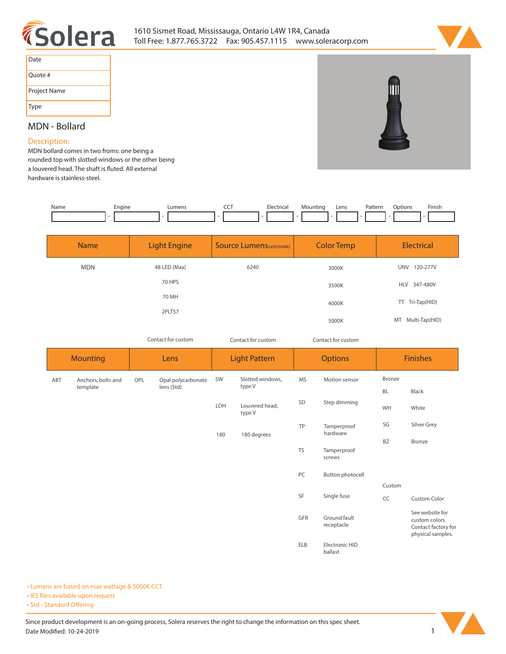



| Date         |
|--------------|
| Ouote #      |
| Project Name |
| Type         |

## **MDN - Bollard**

## **Description:**

**MDN bollard comes in two froms: one being a rounded top with slotted windows or the other being**  a louvered head. The shaft is fluted. All external **hardware is stainless-steel.** 

| Name | Enaine | IIMan( | --- | Electrin<br>. | Lens | Patterr<br>. | .<br>Options | Finisi.<br>the contract of the contract of the |
|------|--------|--------|-----|---------------|------|--------------|--------------|------------------------------------------------|
|      |        |        |     |               |      |              |              |                                                |

| <b>Name</b> | <b>Light Engine</b> | <b>Source Lumens</b> (LED)(5000K) | <b>Color Temp</b> | <b>Electrical</b>      |
|-------------|---------------------|-----------------------------------|-------------------|------------------------|
| <b>MDN</b>  | 48 LED (Max)        | 6240                              | 3000K             | 120-277V<br><b>UNV</b> |
|             | 70 HPS              |                                   | 3500K             | 347-480V<br><b>HLV</b> |
|             | 70 MH               |                                   | 4000K             | Tri-Tap(HID)<br>TT.    |
|             | 2PLT57              |                                   | 5000K             | Multi-Tap(HID)<br>MT   |

*Contact for custom Contact for custom*

Contact for custom

*Contact for custom*

|     | <b>Mounting</b>    |     | Lens               |     | <b>Light Pattern</b>     |            | <b>Options</b>             |           | <b>Finishes</b>                                                               |  |
|-----|--------------------|-----|--------------------|-----|--------------------------|------------|----------------------------|-----------|-------------------------------------------------------------------------------|--|
| ABT | Anchors, bolts and | OPL | Opal polycarbonate | SW  | Slotted windows,         | <b>MS</b>  | Motion sensor              | Bronze    |                                                                               |  |
|     | template           |     | lens (Std)         |     | type V                   |            |                            | <b>BL</b> | Black                                                                         |  |
|     |                    |     |                    | LOH | Louvered head,<br>type V | SD         | Step dimming               | WH        | White                                                                         |  |
|     |                    |     |                    | 180 | 180 degrees              | TP         | Tamperproof<br>hardware    | SG        | Silver Grey                                                                   |  |
|     |                    |     |                    |     |                          |            |                            | <b>BZ</b> | <b>Bronze</b>                                                                 |  |
|     |                    |     |                    |     |                          | <b>TS</b>  | Tamperproof<br>screws      |           |                                                                               |  |
|     |                    |     |                    |     |                          | PC         | Button photocell           |           |                                                                               |  |
|     |                    |     |                    |     |                          |            |                            | Custom    |                                                                               |  |
|     |                    |     |                    |     |                          | SF         | Single fuse                | CC        | <b>Custom Color</b>                                                           |  |
|     |                    |     |                    |     |                          | GFR        | Ground fault<br>receptacle |           | See website for<br>custom colors.<br>Contact factory for<br>physical samples. |  |
|     |                    |     |                    |     |                          | <b>ELB</b> | Electronic HID<br>ballast  |           |                                                                               |  |

**• Lumens are based on max wattage & 5000K CCT**

**• IES files available upon request** 

• Std - Standard Offering

Since product development is an on-going process, Solera reserves the right to change the information on this spec sheet. **Date Modified: 10-24-2019** 1